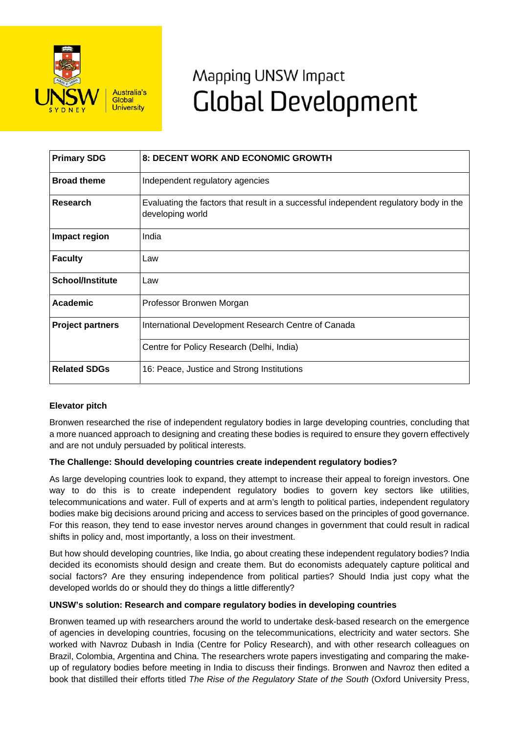

# Mapping UNSW Impact **Global Development**

| <b>Primary SDG</b>      | 8: DECENT WORK AND ECONOMIC GROWTH                                                                        |
|-------------------------|-----------------------------------------------------------------------------------------------------------|
| <b>Broad theme</b>      | Independent regulatory agencies                                                                           |
| Research                | Evaluating the factors that result in a successful independent regulatory body in the<br>developing world |
| Impact region           | India                                                                                                     |
| <b>Faculty</b>          | Law                                                                                                       |
| <b>School/Institute</b> | Law                                                                                                       |
| Academic                | Professor Bronwen Morgan                                                                                  |
| <b>Project partners</b> | International Development Research Centre of Canada                                                       |
|                         | Centre for Policy Research (Delhi, India)                                                                 |
| <b>Related SDGs</b>     | 16: Peace, Justice and Strong Institutions                                                                |

## **Elevator pitch**

Bronwen researched the rise of independent regulatory bodies in large developing countries, concluding that a more nuanced approach to designing and creating these bodies is required to ensure they govern effectively and are not unduly persuaded by political interests.

## **The Challenge: Should developing countries create independent regulatory bodies?**

As large developing countries look to expand, they attempt to increase their appeal to foreign investors. One way to do this is to create independent regulatory bodies to govern key sectors like utilities, telecommunications and water. Full of experts and at arm's length to political parties, independent regulatory bodies make big decisions around pricing and access to services based on the principles of good governance. For this reason, they tend to ease investor nerves around changes in government that could result in radical shifts in policy and, most importantly, a loss on their investment.

But how should developing countries, like India, go about creating these independent regulatory bodies? India decided its economists should design and create them. But do economists adequately capture political and social factors? Are they ensuring independence from political parties? Should India just copy what the developed worlds do or should they do things a little differently?

#### **UNSW's solution: Research and compare regulatory bodies in developing countries**

Bronwen teamed up with researchers around the world to undertake desk-based research on the emergence of agencies in developing countries, focusing on the telecommunications, electricity and water sectors. She worked with Navroz Dubash in India (Centre for Policy Research), and with other research colleagues on Brazil, Colombia, Argentina and China. The researchers wrote papers investigating and comparing the makeup of regulatory bodies before meeting in India to discuss their findings. Bronwen and Navroz then edited a book that distilled their efforts titled *The Rise of the Regulatory State of the South* (Oxford University Press,